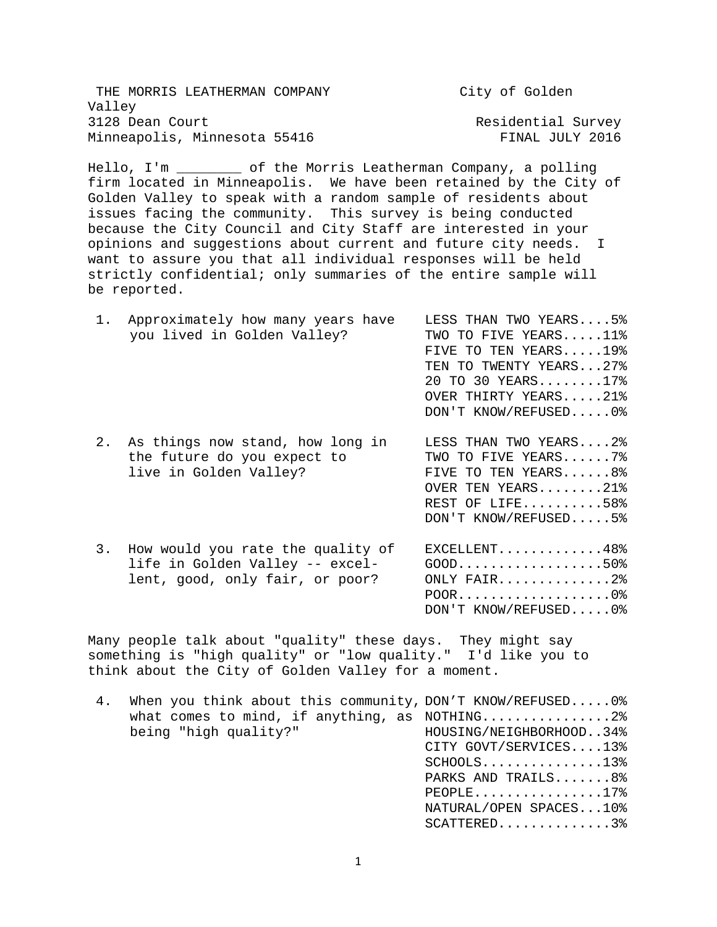| City of Golden     |
|--------------------|
|                    |
| Residential Survey |
| FINAL JULY 2016    |
|                    |

Hello, I'm \_\_\_\_\_\_\_\_ of the Morris Leatherman Company, a polling firm located in Minneapolis. We have been retained by the City of Golden Valley to speak with a random sample of residents about issues facing the community. This survey is being conducted because the City Council and City Staff are interested in your opinions and suggestions about current and future city needs. I want to assure you that all individual responses will be held strictly confidential; only summaries of the entire sample will be reported.

| 1. | Approximately how many years have<br>you lived in Golden Valley?                                        | LESS THAN TWO YEARS5%<br>TWO TO FIVE YEARS11%<br>FIVE TO TEN YEARS19%<br>TEN TO TWENTY YEARS27%<br>20 TO 30 YEARS17%<br>OVER THIRTY YEARS21%<br>DON'T KNOW/REFUSED0% |
|----|---------------------------------------------------------------------------------------------------------|----------------------------------------------------------------------------------------------------------------------------------------------------------------------|
| 2. | As things now stand, how long in<br>the future do you expect to<br>live in Golden Valley?               | LESS THAN TWO YEARS2%<br>TWO TO FIVE YEARS7%<br>FIVE TO TEN YEARS8%<br>OVER TEN YEARS21%<br>REST OF LIFE58%<br>DON'T KNOW/REFUSED5%                                  |
| 3. | How would you rate the quality of<br>life in Golden Valley -- excel-<br>lent, good, only fair, or poor? | EXCELLENT48%<br>$GOOD$ 50%<br>ONLY $FAIR$ 2%                                                                                                                         |

Many people talk about "quality" these days. They might say something is "high quality" or "low quality." I'd like you to think about the City of Golden Valley for a moment.

 POOR...................0% DON'T KNOW/REFUSED.....0%

| 4. | When you think about this community, DON'T KNOW/REFUSED0% |  |  |                         |  |
|----|-----------------------------------------------------------|--|--|-------------------------|--|
|    |                                                           |  |  |                         |  |
|    | being "high quality?"                                     |  |  | HOUSING/NEIGHBORHOOD34% |  |
|    |                                                           |  |  | CITY GOVT/SERVICES13%   |  |
|    |                                                           |  |  | $SCHOOLS$ 13%           |  |
|    |                                                           |  |  | PARKS AND TRAILS8%      |  |
|    |                                                           |  |  | $PEOPLE$ 17%            |  |
|    |                                                           |  |  | NATURAL/OPEN SPACES10%  |  |
|    |                                                           |  |  | $SCATTERED$ 3%          |  |
|    |                                                           |  |  |                         |  |

1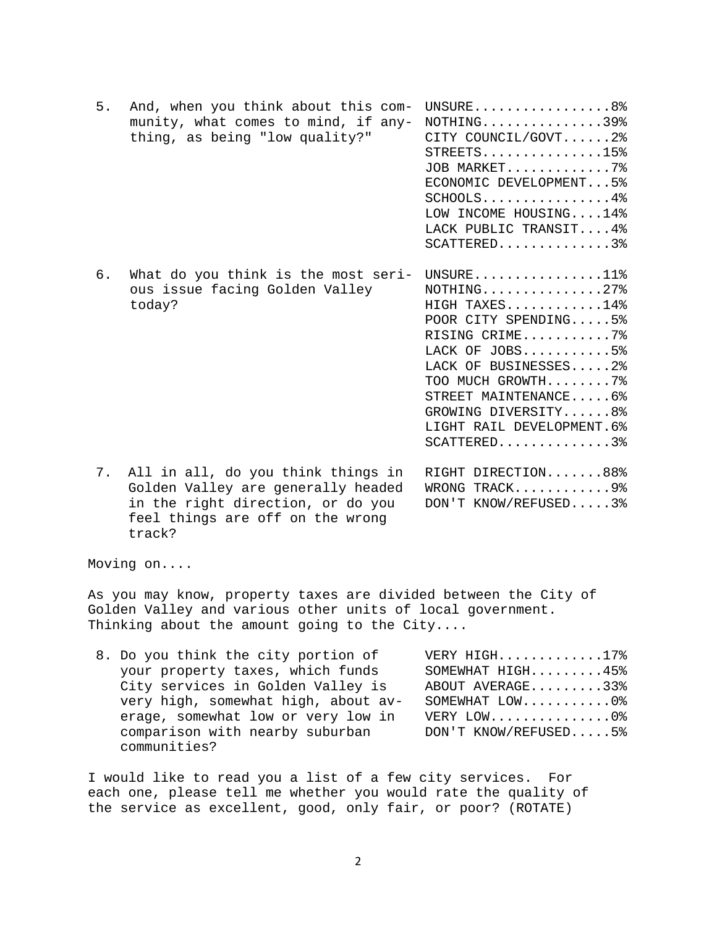| 5. | And, when you think about this com-<br>munity, what comes to mind, if any-<br>thing, as being "low quality?"                                                | UNSURE8%<br>$NOTHING.$ 39%<br>CITY COUNCIL/GOVT2%<br>$STREETS$ 15%<br>JOB MARKET7%<br>ECONOMIC DEVELOPMENT5%<br>$SCHOOLS$ 4%<br>LOW INCOME HOUSING14%<br>LACK PUBLIC TRANSIT 4%<br>$SCATTERED$ 3%                                     |
|----|-------------------------------------------------------------------------------------------------------------------------------------------------------------|---------------------------------------------------------------------------------------------------------------------------------------------------------------------------------------------------------------------------------------|
| 6. | What do you think is the most seri- UNSURE11%<br>ous issue facing Golden Valley<br>today?                                                                   | $NOTHING$ 27%<br>HIGH TAXES14%<br>POOR CITY SPENDING5%<br>RISING CRIME7%<br>LACK OF JOBS5%<br>LACK OF BUSINESSES2%<br>TOO MUCH GROWTH7%<br>STREET MAINTENANCE6%<br>GROWING DIVERSITY8%<br>LIGHT RAIL DEVELOPMENT.6%<br>$SCATTERED$ 3% |
| 7. | All in all, do you think things in<br>Golden Valley are generally headed<br>in the right direction, or do you<br>feel things are off on the wrong<br>track? | RIGHT DIRECTION88%<br>WRONG TRACK9%<br>DON'T KNOW/REFUSED3%                                                                                                                                                                           |

Moving on....

As you may know, property taxes are divided between the City of Golden Valley and various other units of local government. Thinking about the amount going to the City....

8. Do you think the city portion of VERY HIGH..............17%<br>your property taxes, which funds SOMEWHAT HIGH.........45% your property taxes, which funds SOMEWHAT HIGH.........45%<br>City services in Golden Valley is ABOUT AVERAGE.........33% City services in Golden Valley is ABOUT AVERAGE.........33%<br>very high, somewhat high, about av- SOMEWHAT LOW...........0% very high, somewhat high, about av-<br>erage, somewhat low or very low in VERY LOW................0% erage, somewhat low or very low in VERY LOW...............0% comparison with nearby suburban communities?

I would like to read you a list of a few city services. For each one, please tell me whether you would rate the quality of the service as excellent, good, only fair, or poor? (ROTATE)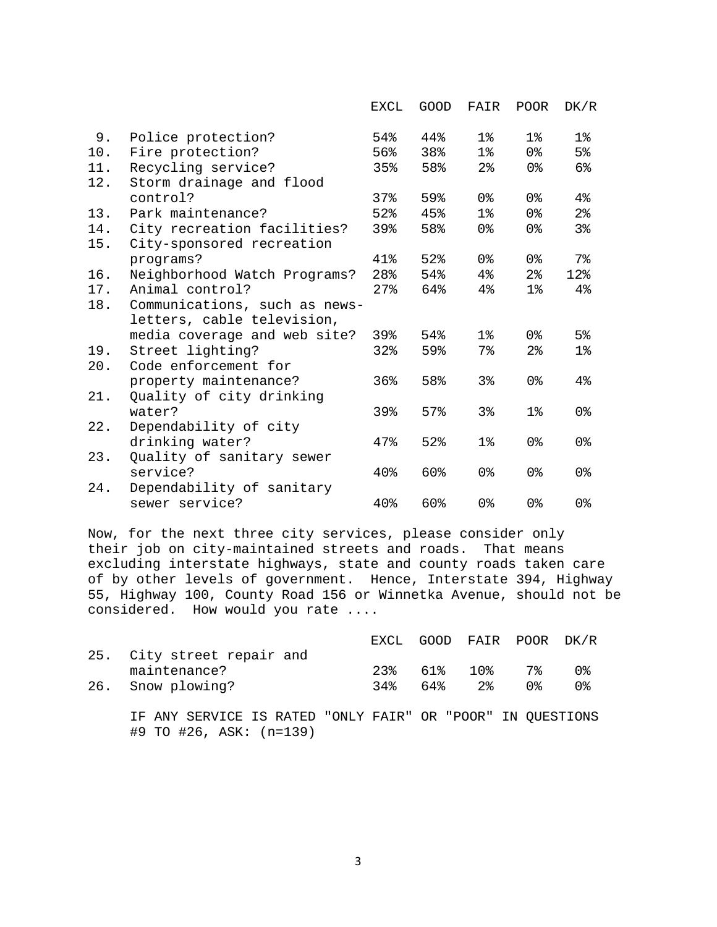|     |                               | EXCL   | <b>GOOD</b> | FAIR                | POOR.            | DK/R                |
|-----|-------------------------------|--------|-------------|---------------------|------------------|---------------------|
| 9.  | Police protection?            | 54%    | 44%         | $1\,$               | $1\mathrmdegree$ | $1\%$               |
| 10. | Fire protection?              | 56%    | 38%         | $1\%$               | 0%               | $5\%$               |
| 11. | Recycling service?            | 35%    | 58%         | $2\,$               | 0%               | $6\%$               |
| 12. | Storm drainage and flood      |        |             |                     |                  |                     |
|     | control?                      | 37%    | 59%         | 0 %                 | 0%               | $4\,$               |
| 13. | Park maintenance?             | 52%    | 45%         | $1\,$               | 0%               | 2 <sup>°</sup>      |
| 14. | City recreation facilities?   | 39%    | 58%         | 0%                  | 0%               | 3%                  |
| 15. | City-sponsored recreation     |        |             |                     |                  |                     |
|     | programs?                     | 41%    | $52\%$      | 0 %                 | 0%               | 7 <sup>°</sup>      |
| 16. | Neighborhood Watch Programs?  | 28%    | 54%         | $4\,$               | 2 <sup>8</sup>   | 12 <sub>8</sub>     |
| 17. | Animal control?               | 27.8   | 64%         | $4\,$               | $1\%$            | $4\,$               |
| 18. | Communications, such as news- |        |             |                     |                  |                     |
|     | letters, cable television,    |        |             |                     |                  |                     |
|     | media coverage and web site?  | 39%    | 54%         | $1\mathrm{\degree}$ | 0%               | 5 <sup>°</sup>      |
| 19. | Street lighting?              | 32%    | 59%         | 7%                  | 2 <sup>°</sup>   | $1\mathrm{\degree}$ |
| 20. | Code enforcement for          |        |             |                     |                  |                     |
|     | property maintenance?         | $36\%$ | 58%         | 3%                  | 0 <sup>°</sup>   | 4 <sup>°</sup>      |
| 21. | Quality of city drinking      |        |             |                     |                  |                     |
|     | water?                        | 39%    | 57%         | 3%                  | $1\%$            | 0%                  |
| 22. | Dependability of city         |        |             |                     |                  |                     |
|     | drinking water?               | 47%    | 52%         | $1\%$               | 0 <sup>°</sup>   | 0%                  |
| 23. | Quality of sanitary sewer     |        |             |                     |                  |                     |
|     | service?                      | $40\%$ | 60%         | 0%                  | 0%               | 0%                  |
| 24. | Dependability of sanitary     |        |             |                     |                  |                     |
|     | sewer service?                | 40%    | 60%         | 0 <sub>8</sub>      | 0 <sup>8</sup>   | 0%                  |

Now, for the next three city services, please consider only their job on city-maintained streets and roads. That means excluding interstate highways, state and county roads taken care of by other levels of government. Hence, Interstate 394, Highway 55, Highway 100, County Road 156 or Winnetka Avenue, should not be considered. How would you rate ....

|                            | EXCL GOOD FAIR POOR DK/R |  |  |
|----------------------------|--------------------------|--|--|
| 25. City street repair and |                          |  |  |
| maintenance?               | 23% 61% 10% 7%           |  |  |
| 26. Snow plowing?          | $34\%$ 64% 2% 0%         |  |  |

IF ANY SERVICE IS RATED "ONLY FAIR" OR "POOR" IN QUESTIONS #9 TO #26, ASK: (n=139)

3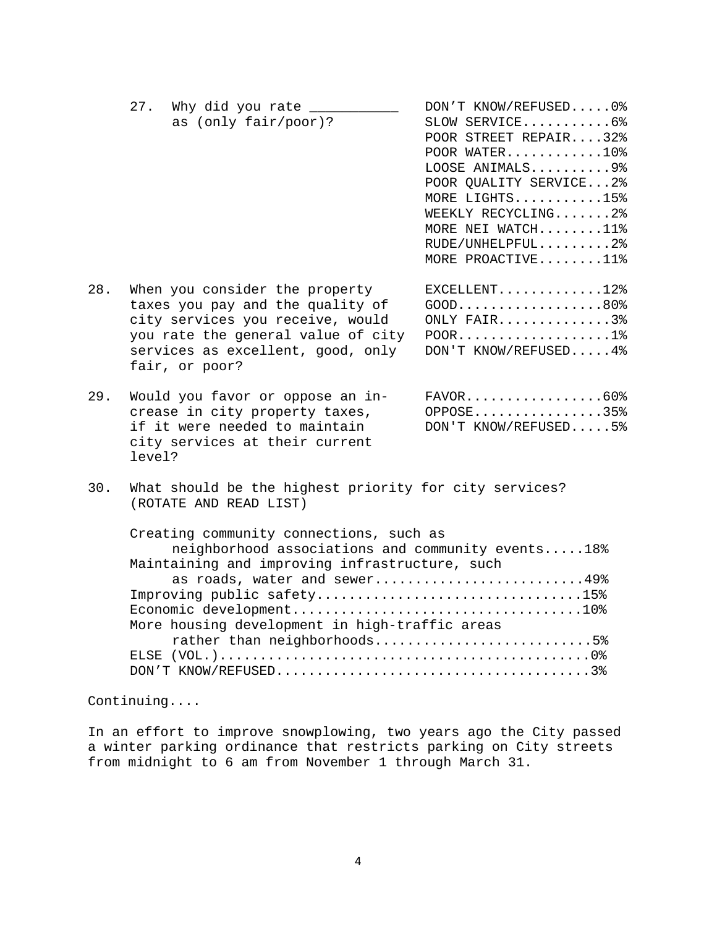|     | 27.    | Why did you rate _______<br>as (only fair/poor)?                                                                                                                                                                                                                                              | DON'T KNOW/REFUSED0%<br>SLOW SERVICE6%<br>POOR STREET REPAIR32%<br>POOR WATER10%<br>LOOSE ANIMALS 9%<br>POOR QUALITY SERVICE2%<br>MORE LIGHTS15%<br>WEEKLY RECYCLING2%<br>MORE NEI WATCH11%<br>$RUDE/UNHELPFUL$ 2%<br>MORE PROACTIVE11% |
|-----|--------|-----------------------------------------------------------------------------------------------------------------------------------------------------------------------------------------------------------------------------------------------------------------------------------------------|-----------------------------------------------------------------------------------------------------------------------------------------------------------------------------------------------------------------------------------------|
| 28. |        | When you consider the property<br>taxes you pay and the quality of<br>city services you receive, would<br>you rate the general value of city<br>services as excellent, good, only<br>fair, or poor?                                                                                           | $EXCELLENT$ 12%<br>$GOOD$ 80%<br>ONLY FAIR3%<br>$POOR$ 1%<br>DON'T KNOW/REFUSED4%                                                                                                                                                       |
| 29. | level? | Would you favor or oppose an in-<br>crease in city property taxes,<br>if it were needed to maintain<br>city services at their current                                                                                                                                                         | $FAVOR$ 60%<br>OPPOSE35%<br>DON'T KNOW/REFUSED5%                                                                                                                                                                                        |
| 30. |        | What should be the highest priority for city services?<br>(ROTATE AND READ LIST)                                                                                                                                                                                                              |                                                                                                                                                                                                                                         |
|     |        | Creating community connections, such as<br>neighborhood associations and community events18%<br>Maintaining and improving infrastructure, such<br>as roads, water and sewer49%<br>Improving public safety15%<br>More housing development in high-traffic areas<br>rather than neighborhoods5% |                                                                                                                                                                                                                                         |

Continuing....

In an effort to improve snowplowing, two years ago the City passed a winter parking ordinance that restricts parking on City streets from midnight to 6 am from November 1 through March 31.

DON'T KNOW/REFUSED.......................................3%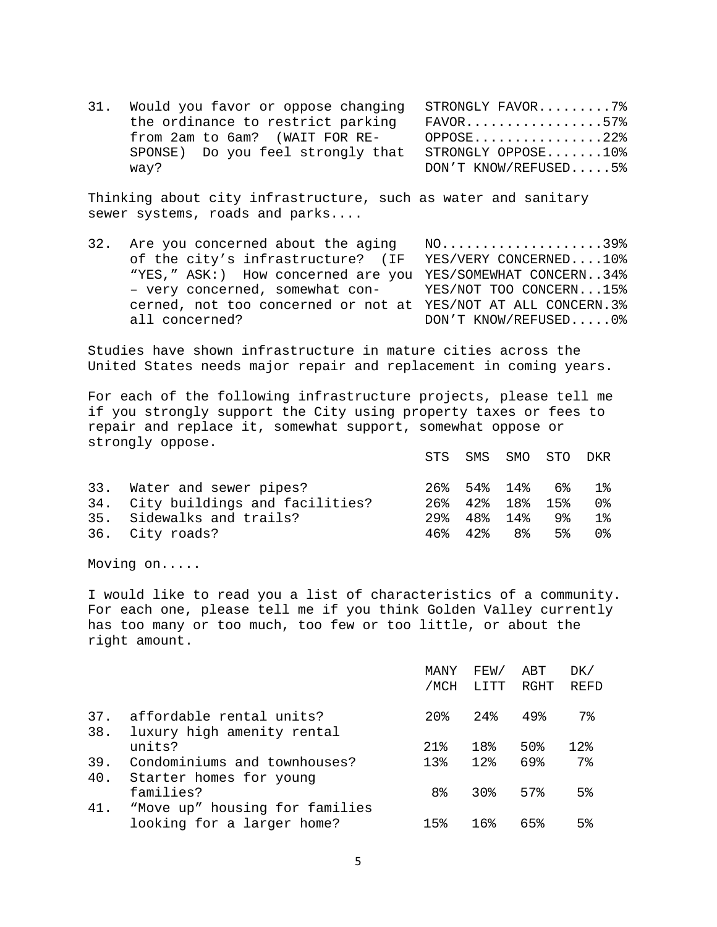31. Would you favor or oppose changing STRONGLY FAVOR...........7%<br>the ordinance to restrict parking FAVOR.................57% the ordinance to restrict parking FAVOR..................57%<br>from 2am to 6am? (WAIT FOR RE- OPPOSE...............22% from 2am to 6am? (WAIT FOR RE- OPPOSE................22%<br>SPONSE) Do you feel strongly that STRONGLY OPPOSE.......10% SPONSE) Do you feel strongly that<br>way? DON'T KNOW/REFUSED.....5%

Thinking about city infrastructure, such as water and sanitary sewer systems, roads and parks....

32. Are you concerned about the aging NO......................39%<br>of the city's infrastructure? (IF YES/VERY CONCERNED....10% of the city's infrastructure? "YES," ASK:) How concerned are you YES/SOMEWHAT CONCERN..34%<br>- very concerned, somewhat con- YES/NOT TOO CONCERN...15% – very concerned, somewhat concerned, not too concerned or not at YES/NOT AT ALL CONCERN.3%<br>all concerned? DON'T KNOW/REFUSED.....0% DON'T KNOW/REFUSED.....0%

Studies have shown infrastructure in mature cities across the United States needs major repair and replacement in coming years.

For each of the following infrastructure projects, please tell me if you strongly support the City using property taxes or fees to repair and replace it, somewhat support, somewhat oppose or strongly oppose.

|                                    |  | STS SMS SMO STO DKR |  |
|------------------------------------|--|---------------------|--|
| 33. Water and sewer pipes?         |  | 26% 54% 14% 6% 1%   |  |
| 34. City buildings and facilities? |  | 26% 42% 18% 15% 0%  |  |
| 35. Sidewalks and trails?          |  | 29% 48% 14% 9% 1%   |  |
| 36. City roads?                    |  | 46% 42% 8% 5% 0%    |  |
|                                    |  |                     |  |

Moving on.....

I would like to read you a list of characteristics of a community. For each one, please tell me if you think Golden Valley currently has too many or too much, too few or too little, or about the right amount.

|     |                                | MANY<br>/MCH      | FEW/<br>LITT | ABT<br>RGHT | DK/<br><b>REFD</b> |
|-----|--------------------------------|-------------------|--------------|-------------|--------------------|
|     | 37. affordable rental units?   | 20%               | 2.4%         | 49%         | 7%                 |
| 38. | luxury high amenity rental     |                   |              |             |                    |
|     | units?                         | $21\%$            | 18%          | 50%         | 12 <sub>8</sub>    |
| 39. | Condominiums and townhouses?   | 13 <sup>8</sup>   | $12$ $\circ$ | 69%         | $7\,$              |
| 40. | Starter homes for young        |                   |              |             |                    |
|     | families?                      | 8 <sup>°</sup>    | 30%          | 57%         | 5 <sup>8</sup>     |
| 41. | "Move up" housing for families |                   |              |             |                    |
|     | looking for a larger home?     | $15$ <sup>2</sup> | 16%          | 65%         | $5\%$              |
|     |                                |                   |              |             |                    |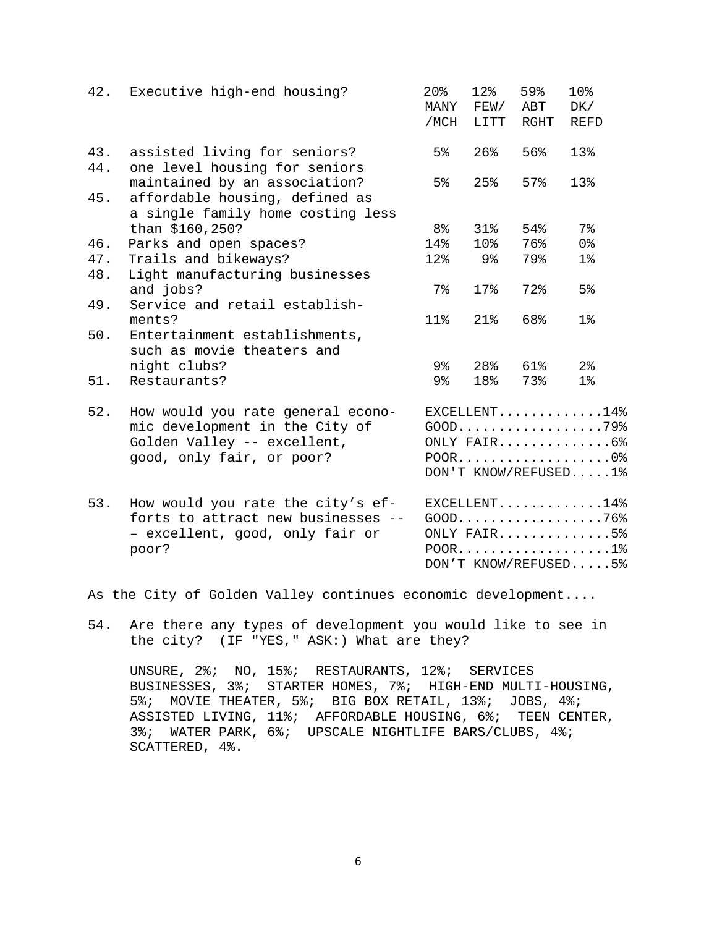| 42.        | Executive high-end housing?                                                                                                     | 20 <sub>8</sub><br>MANY<br>/MCH | 12%<br>FEW/<br>LITT | 59%<br>ABT<br>RGHT | 10%<br>DK/<br><b>REFD</b>                                         |
|------------|---------------------------------------------------------------------------------------------------------------------------------|---------------------------------|---------------------|--------------------|-------------------------------------------------------------------|
| 43.<br>44. | assisted living for seniors?<br>one level housing for seniors                                                                   | 5 <sup>°</sup>                  | $26$ $%$            | 56%                | 13%                                                               |
| 45.        | maintained by an association?<br>affordable housing, defined as<br>a single family home costing less                            | $5\%$                           | 25%                 | 57%                | 13%                                                               |
|            | than \$160,250?                                                                                                                 | 8 <sup>°</sup>                  | $31\%$              | 54%                | $7\%$                                                             |
| 46.        | Parks and open spaces?                                                                                                          | 14%                             | 10%                 | 76%                | 0 <sup>°</sup>                                                    |
| 47.        | Trails and bikeways?                                                                                                            | 12%                             | 9%                  | 79%                | $1\%$                                                             |
| 48.        | Light manufacturing businesses                                                                                                  |                                 |                     |                    |                                                                   |
|            | and jobs?                                                                                                                       | $7\,$                           | 17%                 | 72%                | 5 <sup>°</sup>                                                    |
| 49.        | Service and retail establish-                                                                                                   |                                 |                     |                    |                                                                   |
|            | ments?                                                                                                                          | 11%                             | 21%                 | 68%                | $1\%$                                                             |
| 50.        | Entertainment establishments,<br>such as movie theaters and                                                                     |                                 |                     |                    |                                                                   |
|            | night clubs?                                                                                                                    | 9%                              | 28%                 | 61%                | 2 <sup>°</sup>                                                    |
| 51.        | Restaurants?                                                                                                                    | 9%                              | 18%                 | 73%                | $1\%$                                                             |
| 52.        | How would you rate general econo-<br>mic development in the City of<br>Golden Valley -- excellent,<br>good, only fair, or poor? |                                 |                     |                    | $EXCELLENT$ 14%<br>$POOR$ 0%<br>DON'T KNOW/REFUSED1%              |
| 53.        | How would you rate the city's ef-<br>forts to attract new businesses --<br>- excellent, good, only fair or<br>poor?             |                                 |                     |                    | EXCELLENT14%<br>$GOOD$ 76%<br>ONLY FAIR5%<br>DON'T KNOW/REFUSED5% |

As the City of Golden Valley continues economic development....

54. Are there any types of development you would like to see in the city? (IF "YES," ASK:) What are they?

UNSURE, 2%; NO, 15%; RESTAURANTS, 12%; SERVICES BUSINESSES, 3%; STARTER HOMES, 7%; HIGH-END MULTI-HOUSING, 5%; MOVIE THEATER, 5%; BIG BOX RETAIL, 13%; JOBS, 4%; ASSISTED LIVING, 11%; AFFORDABLE HOUSING, 6%; TEEN CENTER, 3%; WATER PARK, 6%; UPSCALE NIGHTLIFE BARS/CLUBS, 4%; SCATTERED, 4%.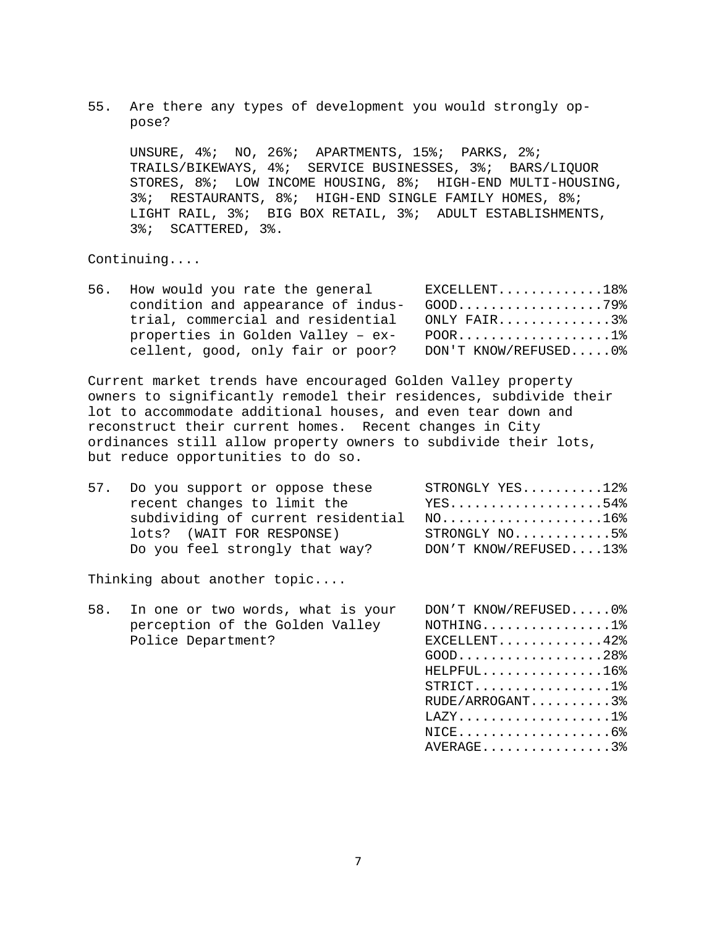55. Are there any types of development you would strongly oppose?

UNSURE, 4%; NO, 26%; APARTMENTS, 15%; PARKS, 2%; TRAILS/BIKEWAYS, 4%; SERVICE BUSINESSES, 3%; BARS/LIQUOR STORES, 8%; LOW INCOME HOUSING, 8%; HIGH-END MULTI-HOUSING, 3%; RESTAURANTS, 8%; HIGH-END SINGLE FAMILY HOMES, 8%; LIGHT RAIL, 3%; BIG BOX RETAIL, 3%; ADULT ESTABLISHMENTS, 3%; SCATTERED, 3%.

Continuing....

| 56. How would you rate the general | $EXCELLENT$ 18%      |
|------------------------------------|----------------------|
| condition and appearance of indus- | GOOD79%              |
| trial, commercial and residential  | ONLY FAIR3%          |
| properties in Golden Valley - ex-  | $POOR$ 1%            |
| cellent, good, only fair or poor?  | DON'T KNOW/REFUSED0% |

Current market trends have encouraged Golden Valley property owners to significantly remodel their residences, subdivide their lot to accommodate additional houses, and even tear down and reconstruct their current homes. Recent changes in City ordinances still allow property owners to subdivide their lots, but reduce opportunities to do so.

| 57. Do you support or oppose these       | STRONGLY YES12%                         |
|------------------------------------------|-----------------------------------------|
| recent changes to limit the              | YES54%                                  |
| subdividing of current residential NO16% |                                         |
| lots? (WAIT FOR RESPONSE)                | $STRONGLY NO.\dots \dots \dots \dots 5$ |
| Do you feel strongly that way?           | DON'T KNOW/REFUSED13%                   |

Thinking about another topic....

|  | 58. In one or two words, what is your | DON'T KNOW/REFUSED0%                                               |
|--|---------------------------------------|--------------------------------------------------------------------|
|  | perception of the Golden Valley       | $NOTHING.$ 1%                                                      |
|  | Police Department?                    | $EXCELLENT$ 42%                                                    |
|  |                                       | $GOOD$ 28%                                                         |
|  |                                       | HELPFUL16%                                                         |
|  |                                       |                                                                    |
|  |                                       | RUDE/ARROGANT3%                                                    |
|  |                                       | $\text{LAZY} \ldots \ldots \ldots \ldots \ldots \ldots \ldots 1\}$ |
|  |                                       | $NICE \ldots \ldots \ldots \ldots \ldots \ldots 6$                 |

AVERAGE................3%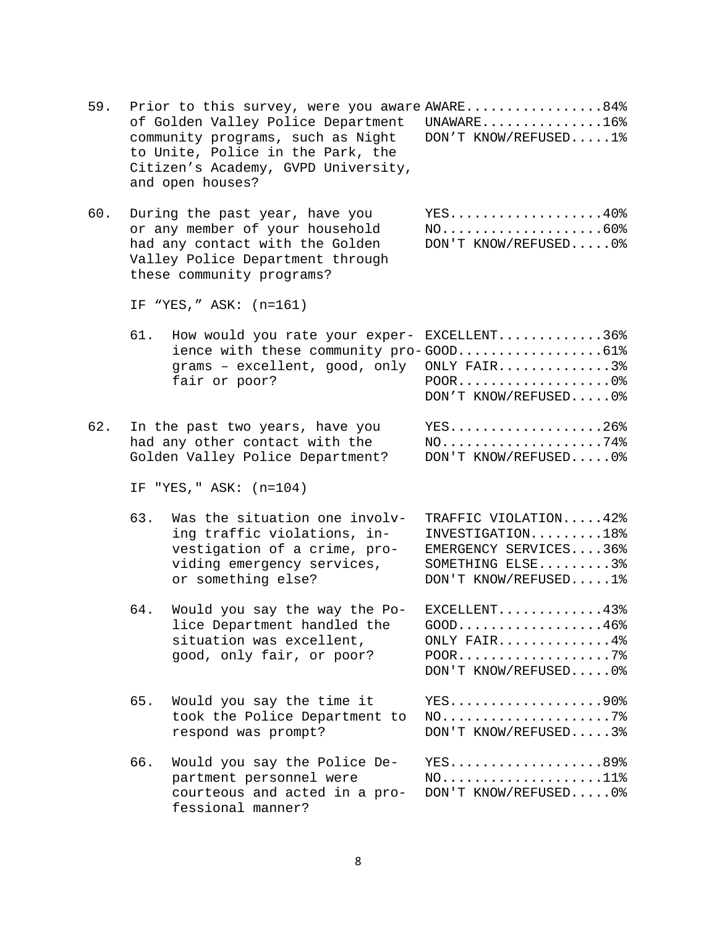- 59. Prior to this survey, were you aware AWARE.................84% of Golden Valley Police Department UNAWARE................16%<br>community programs, such as Night DON'T KNOW/REFUSED.....1% community programs, such as Night to Unite, Police in the Park, the Citizen's Academy, GVPD University, and open houses?
- 60. During the past year, have you YES...................40% or any member of your household NO....................60% had any contact with the Golden Valley Police Department through these community programs?

IF "YES," ASK: (n=161)

- 61. How would you rate your exper- EXCELLENT.............36% ience with these community pro-GOOD.....................61% grams – excellent, good, only ONLY FAIR..............3% FOOR..................0% DON'T KNOW/REFUSED.....0%
- 62. In the past two years, have you YES.....................26%<br>had any other contact with the NO....................74% had any other contact with the NO....................74% Golden Valley Police Department?

IF "YES," ASK: (n=104)

- 63. Was the situation one involv- TRAFFIC VIOLATION.....42%<br>ing traffic violations, in- INVESTIGATION.........18% ing traffic violations, in- INVESTIGATION.........18%<br>vestigation of a crime, pro- EMERGENCY SERVICES....36% vestigation of a crime, pro- EMERGENCY SERVICES....36%<br>viding emergency services, SOMETHING ELSE.........3% viding emergency services,<br>or something else? DON'T KNOW/REFUSED.....1%
- 64. Would you say the way the Po- EXCELLENT.............43% lice Department handled the GOOD..................46%<br>situation was excellent. ONLY FAIR..............4% situation was excellent,<br>good, only fair, or poor? POOR........................7% DON'T KNOW/REFUSED.....0%

DON'T KNOW/REFUSED.....3%

- 65. Would you say the time it YES...................90% took the Police Department to<br>respond was prompt?
- 66. Would you say the Police De-<br>partment personnel were MO.....................11%  $NO.\dots.\dots.\dots.\dots.\dots.11\%$ <br>DON'T KNOW/REFUSED.....0% courteous and acted in a professional manner?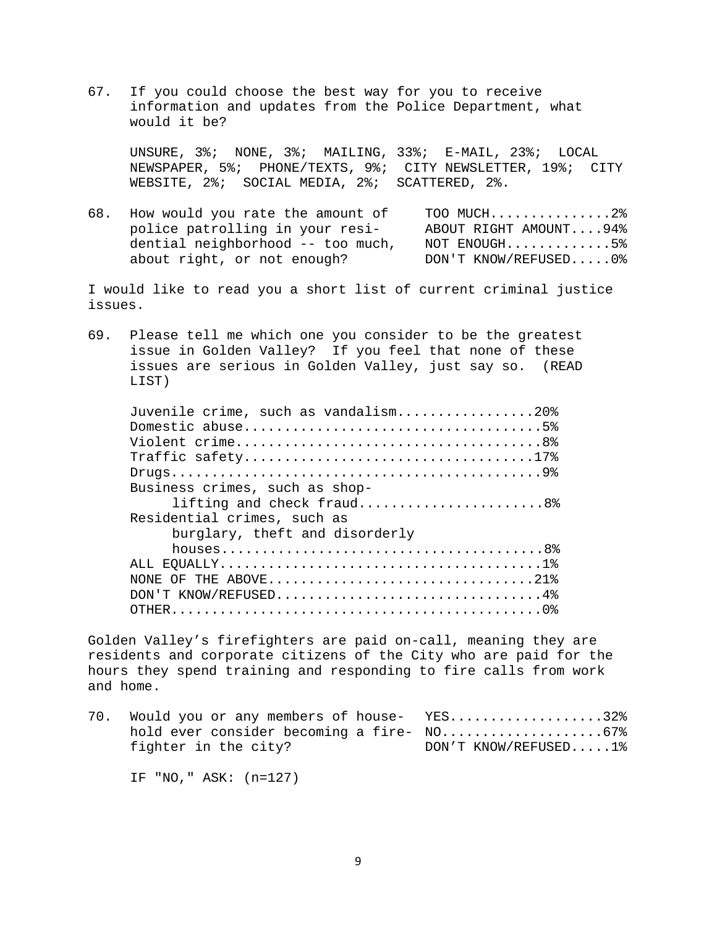67. If you could choose the best way for you to receive information and updates from the Police Department, what would it be?

UNSURE, 3%; NONE, 3%; MAILING, 33%; E-MAIL, 23%; LOCAL NEWSPAPER, 5%; PHONE/TEXTS, 9%; CITY NEWSLETTER, 19%; CITY WEBSITE, 2%; SOCIAL MEDIA, 2%; SCATTERED, 2%.

68. How would you rate the amount of TOO MUCH...............2% police patrolling in your resi- ABOUT RIGHT AMOUNT....94% dential neighborhood -- too much, NOT ENOUGH..............5%<br>about right, or not enough? DON'T KNOW/REFUSED.....0% about right, or not enough?

I would like to read you a short list of current criminal justice issues.

69. Please tell me which one you consider to be the greatest issue in Golden Valley? If you feel that none of these issues are serious in Golden Valley, just say so. (READ LIST)

| Juvenile crime, such as vandalism20% |
|--------------------------------------|
|                                      |
| Violent crime8%                      |
|                                      |
|                                      |
| Business crimes, such as shop-       |
| lifting and check fraud8%            |
| Residential crimes, such as          |
| burglary, theft and disorderly       |
|                                      |
|                                      |
|                                      |
| NONE OF THE ABOVE21%                 |
| DON'T KNOW/REFUSED4%                 |

Golden Valley's firefighters are paid on-call, meaning they are residents and corporate citizens of the City who are paid for the hours they spend training and responding to fire calls from work and home.

| 70.  Would you or any members of house-   YES32% |                      |
|--------------------------------------------------|----------------------|
|                                                  |                      |
| fighter in the city?                             | DON'T KNOW/REFUSED1% |

IF "NO," ASK: (n=127)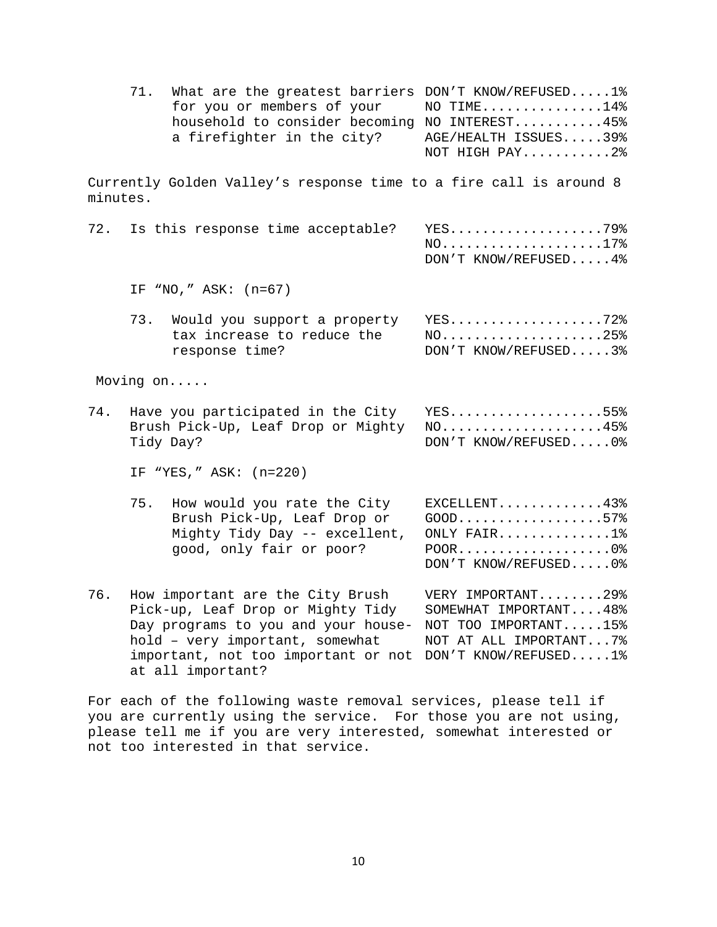|          | 71.       | What are the greatest barriers<br>for you or members of your<br>household to consider becoming NO INTEREST45%<br>a firefighter in the city?                                                                                      | DON'T KNOW/REFUSED1%<br>NO TIME $14%$<br>AGE/HEALTH ISSUES39%<br>NOT HIGH PAY2%              |
|----------|-----------|----------------------------------------------------------------------------------------------------------------------------------------------------------------------------------------------------------------------------------|----------------------------------------------------------------------------------------------|
| minutes. |           | Currently Golden Valley's response time to a fire call is around 8                                                                                                                                                               |                                                                                              |
| 72.      |           | Is this response time acceptable?                                                                                                                                                                                                | $YES$ 79%<br>$NO.$ 17%<br>DON'T KNOW/REFUSED 4%                                              |
|          |           | IF "NO," ASK: (n=67)                                                                                                                                                                                                             |                                                                                              |
|          |           | 73. Would you support a property<br>tax increase to reduce the<br>response time?                                                                                                                                                 | YES72%<br>$NO. 25$<br>DON'T KNOW/REFUSED3%                                                   |
|          | Moving on |                                                                                                                                                                                                                                  |                                                                                              |
| 74.      | Tidy Day? | Have you participated in the City<br>Brush Pick-Up, Leaf Drop or Mighty                                                                                                                                                          | YES55%<br>$NO.$ 45%<br>DON'T KNOW/REFUSED0%                                                  |
|          |           | IF "YES," ASK: (n=220)                                                                                                                                                                                                           |                                                                                              |
|          | 75.       | How would you rate the City<br>Brush Pick-Up, Leaf Drop or<br>Mighty Tidy Day -- excellent,<br>good, only fair or poor?                                                                                                          | $EXCELLENT$ 43%<br>$GOOD$ 57%<br>ONLY FAIR1%<br>$POOR$ 0%<br>DON'T KNOW/REFUSED0%            |
| 76.      |           | How important are the City Brush<br>Pick-up, Leaf Drop or Mighty Tidy<br>Day programs to you and your house-<br>hold - very important, somewhat<br>important, not too important or not DON'T KNOW/REFUSED1%<br>at all important? | VERY IMPORTANT29%<br>SOMEWHAT IMPORTANT48%<br>NOT TOO IMPORTANT15%<br>NOT AT ALL IMPORTANT7% |
|          |           | For each of the following waste removal services, please tell if                                                                                                                                                                 |                                                                                              |

you are currently using the service. For those you are not using, please tell me if you are very interested, somewhat interested or not too interested in that service.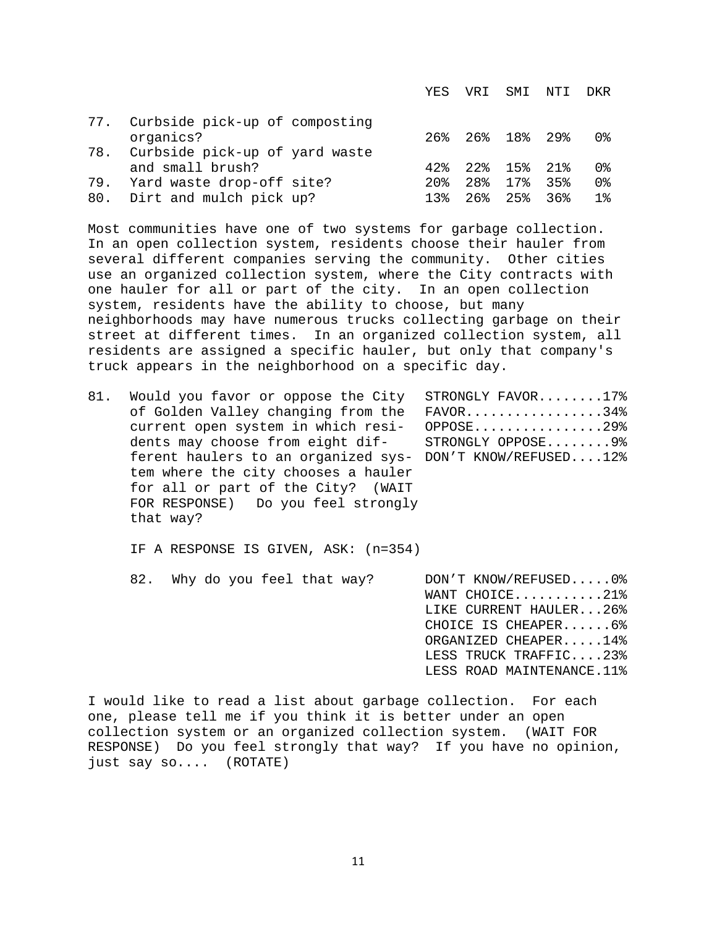| YES VRI SMI NTI DKR |
|---------------------|
|                     |
| 26% 26% 18% 29% 0%  |
|                     |
| 0 %                 |
| 0 %                 |
| 1 %                 |
|                     |

Most communities have one of two systems for garbage collection. In an open collection system, residents choose their hauler from several different companies serving the community. Other cities use an organized collection system, where the City contracts with one hauler for all or part of the city. In an open collection system, residents have the ability to choose, but many neighborhoods may have numerous trucks collecting garbage on their street at different times. In an organized collection system, all residents are assigned a specific hauler, but only that company's truck appears in the neighborhood on a specific day.

| 81. | Would you favor or oppose the City                        | $STRONGLY$ $FAVOR$ 17% |
|-----|-----------------------------------------------------------|------------------------|
|     | of Golden Valley changing from the                        | $FAVOR$ 34%            |
|     | current open system in which resi-                        | $OPPOSE$ 29%           |
|     | dents may choose from eight dif-                          | STRONGLY OPPOSE9%      |
|     | ferent haulers to an organized sys- DON'T KNOW/REFUSED12% |                        |
|     | tem where the city chooses a hauler                       |                        |
|     | for all or part of the City? (WAIT                        |                        |
|     | FOR RESPONSE) Do you feel strongly                        |                        |
|     | that way?                                                 |                        |
|     |                                                           |                        |

 $\mathcal{L}^{\text{max}}$ 

IF A RESPONSE IS GIVEN, ASK: (n=354)

 $\mathcal{L}^{\mathcal{L}}$  .

| 82. Why do you feel that way? | DON'T KNOW/REFUSED0%      |
|-------------------------------|---------------------------|
|                               | WANT CHOICE21%            |
|                               | LIKE CURRENT HAULER26%    |
|                               | CHOICE IS CHEAPER6%       |
|                               | ORGANIZED CHEAPER14%      |
|                               | LESS TRUCK TRAFFIC23%     |
|                               | LESS ROAD MAINTENANCE.11% |
|                               |                           |

I would like to read a list about garbage collection. For each one, please tell me if you think it is better under an open collection system or an organized collection system. (WAIT FOR RESPONSE) Do you feel strongly that way? If you have no opinion, just say so.... (ROTATE)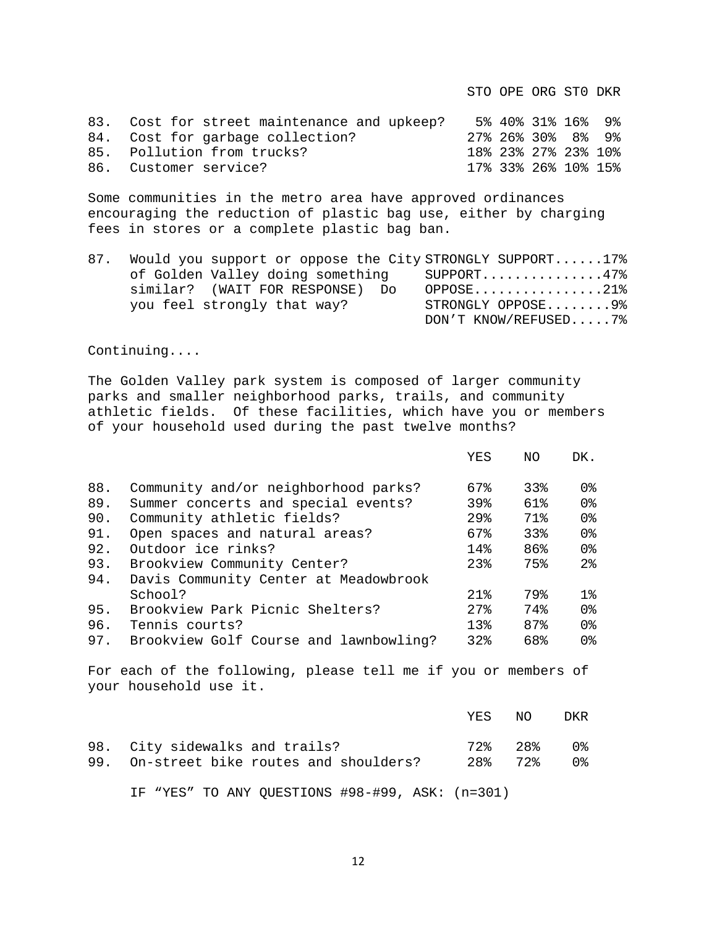STO OPE ORG ST0 DKR

| 83. Cost for street maintenance and upkeep? |  | 5% 40% 31% 16% 9%   |  |
|---------------------------------------------|--|---------------------|--|
| 84. Cost for garbage collection?            |  | 27% 26% 30% 8% 9%   |  |
| 85. Pollution from trucks?                  |  | 18% 23% 27% 23% 10% |  |
| 86. Customer service?                       |  | 17% 33% 26% 10% 15% |  |

Some communities in the metro area have approved ordinances encouraging the reduction of plastic bag use, either by charging fees in stores or a complete plastic bag ban.

| 87. | Would you support or oppose the City STRONGLY SUPPORT17% |  |  |  |                      |  |
|-----|----------------------------------------------------------|--|--|--|----------------------|--|
|     | of Golden Valley doing something SUPPORT47%              |  |  |  |                      |  |
|     | similar? (WAIT FOR RESPONSE) Do                          |  |  |  | $OPPOSE$ 21%         |  |
|     | you feel strongly that way?                              |  |  |  | STRONGLY OPPOSE9%    |  |
|     |                                                          |  |  |  | DON'T KNOW/REFUSED7% |  |

Continuing....

The Golden Valley park system is composed of larger community parks and smaller neighborhood parks, trails, and community athletic fields. Of these facilities, which have you or members of your household used during the past twelve months?

|     |                                        | YES                | NO. | DK.            |
|-----|----------------------------------------|--------------------|-----|----------------|
| 88. | Community and/or neighborhood parks?   | 67%                | 33% | 0%             |
| 89. | Summer concerts and special events?    | 39%                | 61% | 0 <sup>8</sup> |
| 90. | Community athletic fields?             | 29 <sub>8</sub>    | 71% | 0 <sup>8</sup> |
| 91. | Open spaces and natural areas?         | 67%                | 33% | 0 <sup>8</sup> |
| 92. | Outdoor ice rinks?                     | 14%                | 86% | 0 <sup>8</sup> |
| 93. | Brookview Community Center?            | 23                 | 75% | 2 <sup>8</sup> |
| 94. | Davis Community Center at Meadowbrook  |                    |     |                |
|     | School?                                | $21$ $\frac{6}{5}$ | 79% | 1%             |
| 95. | Brookview Park Picnic Shelters?        | $27$ .             | 74% | 0 %            |
| 96. | Tennis courts?                         | 1.3%               | 87% | 0 <sup>8</sup> |
| 97. | Brookview Golf Course and lawnbowling? | 32%                | 68% | 0%             |

For each of the following, please tell me if you or members of your household use it.

|                                |  | YES NO | DKR        |
|--------------------------------|--|--------|------------|
| 98. City sidewalks and trails? |  |        | 72% 28% 0% |

IF "YES" TO ANY QUESTIONS #98-#99, ASK: (n=301)

12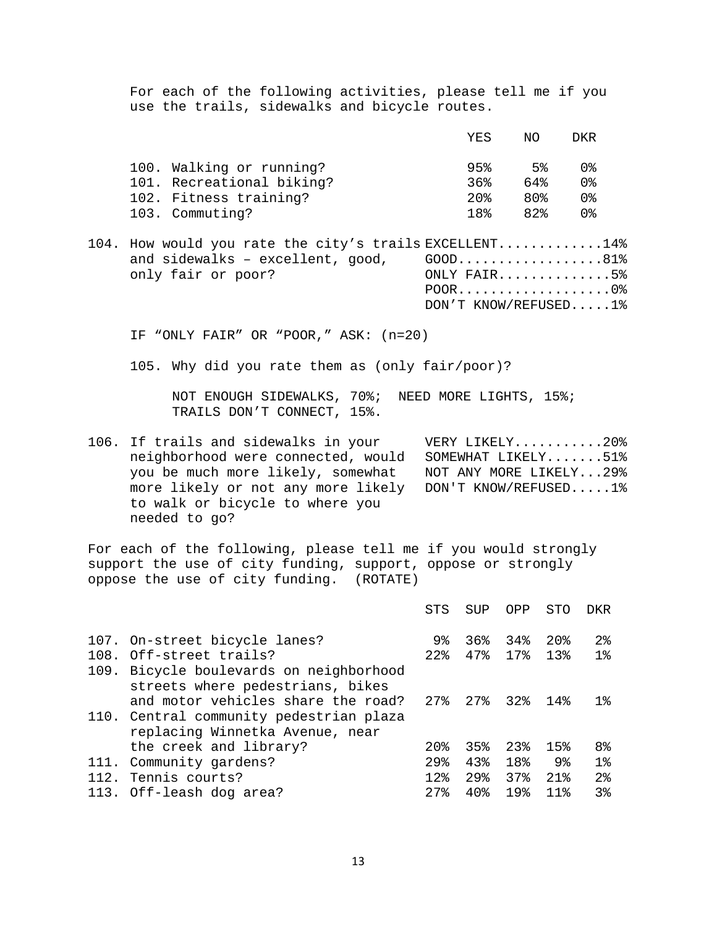For each of the following activities, please tell me if you use the trails, sidewalks and bicycle routes.

|                           | YES  | NΩ  | DKR |
|---------------------------|------|-----|-----|
| 100. Walking or running?  | 95%  | 5%  | በ ≳ |
| 101. Recreational biking? | 36%  | 64% | ∩ຂ  |
| 102. Fitness training?    | 20.8 | 80% | በ ጵ |
| 103. Commuting?           | 18%  | 82  | ∩°  |

104. How would you rate the city's trails EXCELLENT..............14%<br>and sidewalks - excellent, good, GOOD....................81% and sidewalks - excellent, good,<br>only fair or poor? ONLY  $FAIR$ ................5% POOR...................0% DON'T KNOW/REFUSED.....1%

IF "ONLY FAIR" OR "POOR," ASK: (n=20)

105. Why did you rate them as (only fair/poor)?

NOT ENOUGH SIDEWALKS, 70%; NEED MORE LIGHTS, 15%; TRAILS DON'T CONNECT, 15%.

106. If trails and sidewalks in your VERY LIKELY...........20% neighborhood were connected, would SOMEWHAT LIKELY.......51% you be much more likely, somewhat NOT ANY MORE LIKELY...29% more likely or not any more likely DON'T KNOW/REFUSED.....1% to walk or bicycle to where you needed to go?

For each of the following, please tell me if you would strongly support the use of city funding, support, oppose or strongly oppose the use of city funding. (ROTATE)

|      |                                                                                                                                   | STS            | <b>SUP</b> | OPP                  | <b>STO</b> | <b>DKR</b>          |
|------|-----------------------------------------------------------------------------------------------------------------------------------|----------------|------------|----------------------|------------|---------------------|
|      | 107. On-street bicycle lanes?                                                                                                     | ୨ୡ             |            | $36\%$ $34\%$ $20\%$ |            | 2 <sup>8</sup>      |
|      | 108. Off-street trails?                                                                                                           | $22$ $\approx$ |            | 47% 17% 13%          |            | $1\,$               |
|      | 109. Bicycle boulevards on neighborhood<br>streets where pedestrians, bikes<br>and motor vehicles share the road? 27% 27% 32% 14% |                |            |                      |            | 1%                  |
|      | 110. Central community pedestrian plaza<br>replacing Winnetka Avenue, near                                                        |                |            |                      |            |                     |
|      | the creek and library?                                                                                                            | 20%            |            | 35% 23% 15%          |            | 8%                  |
|      | 111. Community gardens?                                                                                                           | 29%            | 43%        | 18%                  | ୨୫         | $1\mathrm{\degree}$ |
| 112. | Tennis courts?                                                                                                                    | 12.8           | 29%        |                      | 37% 21%    | $2\,$               |
|      | 113. Off-leash dog area?                                                                                                          | 27.8           | 40%        | 19%                  | 11%        | 3%                  |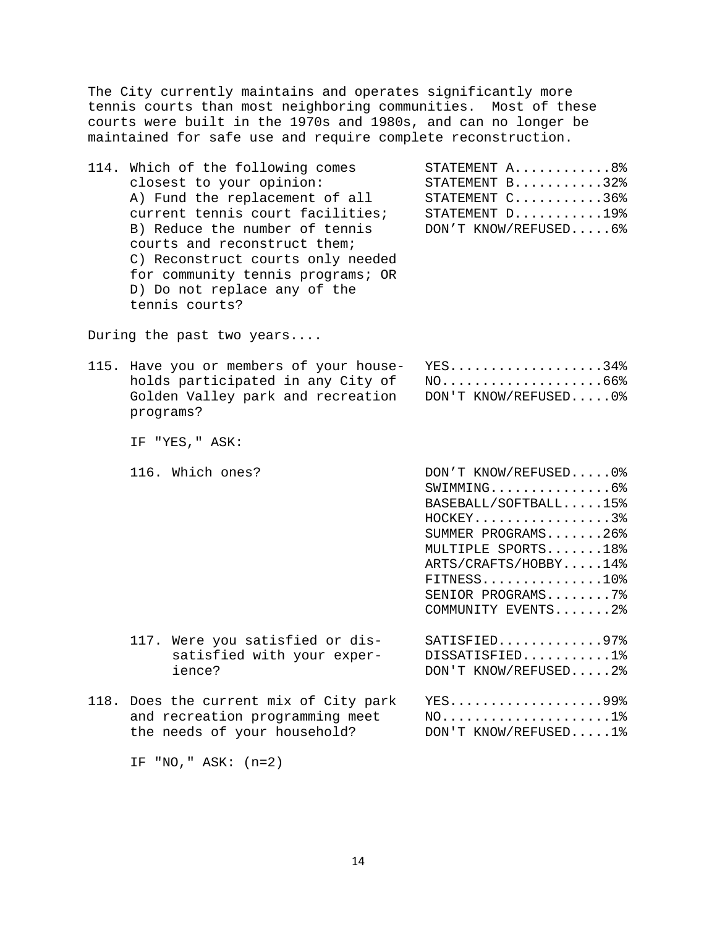The City currently maintains and operates significantly more tennis courts than most neighboring communities. Most of these courts were built in the 1970s and 1980s, and can no longer be maintained for safe use and require complete reconstruction.

114. Which of the following comes<br>closest to your opinion: STATEMENT B............32% closest to your opinion:<br>
A) Fund the replacement of all STATEMENT C...........36% A) Fund the replacement of all STATEMENT C...........36%<br>current tennis court facilities; STATEMENT D..........19% current tennis court facilities; STATEMENT D...........19%<br>B) Reduce the number of tennis DON'T KNOW/REFUSED.....6% B) Reduce the number of tennis courts and reconstruct them; C) Reconstruct courts only needed for community tennis programs; OR D) Do not replace any of the tennis courts?

During the past two years....

115. Have you or members of your house-<br>holds participated in any City of NO......................66% holds participated in any City of NO............................66%<br>Golden Valley park and recreation DON'T KNOW/REFUSED.....0% Golden Valley park and recreation programs?

IF "YES," ASK:

- 116. Which ones? DON'T KNOW/REFUSED.....0% SWIMMING...............6% BASEBALL/SOFTBALL.....15% HOCKEY.................3% SUMMER PROGRAMS.......26% MULTIPLE SPORTS.......18% ARTS/CRAFTS/HOBBY.....14% FITNESS...............10% SENIOR PROGRAMS........7% COMMUNITY EVENTS.......2% 117. Were you satisfied or dis-<br>satisfied with your exper- DISSATISFIED............1% satisfied with your exper-<br>ience? DON'T KNOW/REFUSED.....2% 118. Does the current mix of City park YES...................99%
	- and recreation programming meet  $N0$ ...........................1%<br>the needs of your household? DON'T KNOW/REFUSED.....1% the needs of your household?

IF "NO," ASK: (n=2)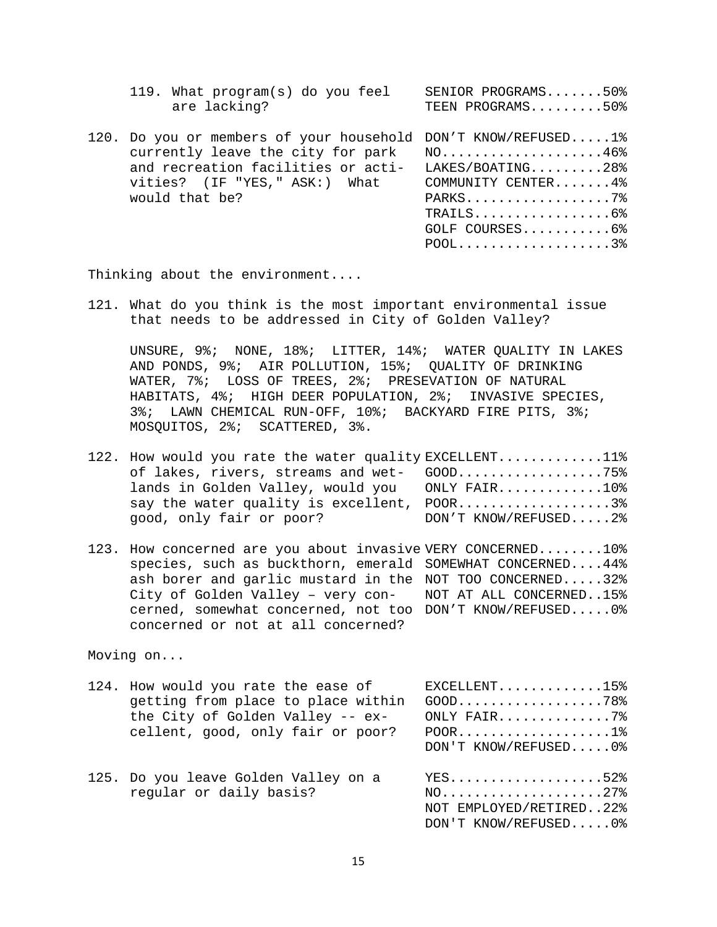| 119. What program(s) do you feel<br>are lacking?                                                                                                                       | SENIOR PROGRAMS50%<br>TEEN PROGRAMS50%                                                                                                   |
|------------------------------------------------------------------------------------------------------------------------------------------------------------------------|------------------------------------------------------------------------------------------------------------------------------------------|
| 120. Do you or members of your household<br>currently leave the city for park<br>and recreation facilities or acti-<br>vities? (IF "YES," ASK:) What<br>would that be? | DON'T KNOW/REFUSED1%<br>$NO. 46%$<br>LAKES/BOATING28%<br>COMMUNITY CENTER 4%<br>$PARKS$ 7%<br>$TRAILS$ 6%<br>GOLF COURSES6%<br>$POOL$ 3% |

Thinking about the environment....

121. What do you think is the most important environmental issue that needs to be addressed in City of Golden Valley?

UNSURE, 9%; NONE, 18%; LITTER, 14%; WATER QUALITY IN LAKES AND PONDS, 9%; AIR POLLUTION, 15%; QUALITY OF DRINKING WATER, 7%; LOSS OF TREES, 2%; PRESEVATION OF NATURAL HABITATS, 4%; HIGH DEER POPULATION, 2%; INVASIVE SPECIES, 3%; LAWN CHEMICAL RUN-OFF, 10%; BACKYARD FIRE PITS, 3%; MOSQUITOS, 2%; SCATTERED, 3%.

| 122. How would you rate the water quality EXCELLENT11% |                      |
|--------------------------------------------------------|----------------------|
|                                                        |                      |
| lands in Golden Valley, would you ONLY FAIR10%         |                      |
| say the water quality is excellent, POOR3%             |                      |
| good, only fair or poor?                               | DON'T KNOW/REFUSED2% |
|                                                        |                      |

123. How concerned are you about invasive VERY CONCERNED........10% species, such as buckthorn, emerald SOMEWHAT CONCERNED....44% ash borer and garlic mustard in the NOT TOO CONCERNED.....32% City of Golden Valley – very con- NOT AT ALL CONCERNED..15% cerned, somewhat concerned, not too DON'T KNOW/REFUSED.....0% concerned or not at all concerned?

Moving on...

| 124. How would you rate the ease of<br>getting from place to place within<br>the City of Golden Valley -- ex-<br>cellent, good, only fair or poor? | $EXCELLENT$ 15%<br>$GOOD$ 78%<br>ONLY FAIR7%<br>$POOR$ 1%<br>DON'T KNOW/REFUSED0% |
|----------------------------------------------------------------------------------------------------------------------------------------------------|-----------------------------------------------------------------------------------|
| 125. Do you leave Golden Valley on a<br>reqular or daily basis?                                                                                    | YES52%<br>$NO. 27$<br>NOT EMPLOYED/RETIRED22%<br>DON'T KNOW/REFUSED0%             |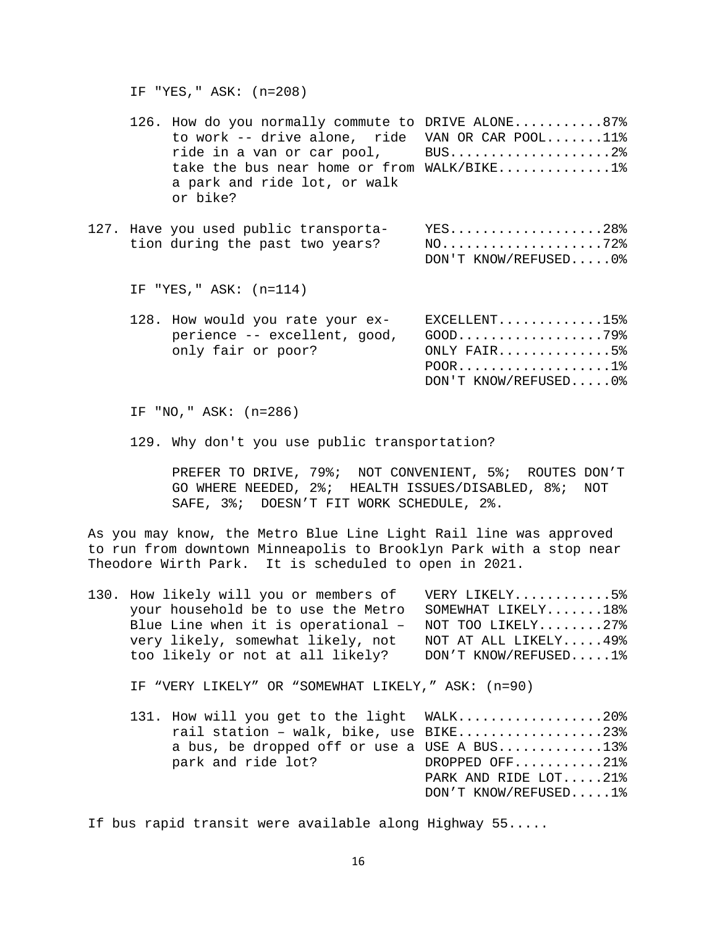IF "YES," ASK: (n=208)

- 126. How do you normally commute to DRIVE ALONE...........87% to work -- drive alone, ride VAN OR CAR POOL.......11%<br>ride in a van or car pool, BUS....................2% ride in a van or car pool, take the bus near home or from WALK/BIKE..............1% a park and ride lot, or walk or bike?
- 127. Have you used public transporta- YES...................28% tion during the past two years? DON'T KNOW/REFUSED.....0%

IF "YES," ASK: (n=114)

128. How would you rate your ex- EXCELLENT.............15% perience -- excellent, good,<br>only fair or poor? ONLY  $FAIR$ ................5% POOR...................1% DON'T KNOW/REFUSED.....0%

IF "NO," ASK: (n=286)

129. Why don't you use public transportation?

PREFER TO DRIVE, 79%; NOT CONVENIENT, 5%; ROUTES DON'T GO WHERE NEEDED, 2%; HEALTH ISSUES/DISABLED, 8%; NOT SAFE, 3%; DOESN'T FIT WORK SCHEDULE, 2%.

As you may know, the Metro Blue Line Light Rail line was approved to run from downtown Minneapolis to Brooklyn Park with a stop near Theodore Wirth Park. It is scheduled to open in 2021.

| 130. How likely will you or members of               | VERY LIKELY5%         |
|------------------------------------------------------|-----------------------|
| your household be to use the Metro                   | SOMEWHAT LIKELY18%    |
| Blue Line when it is operational - NOT TOO LIKELY27% |                       |
| very likely, somewhat likely, not                    | NOT AT ALL LIKELY 49% |
| too likely or not at all likely?                     | DON'T KNOW/REFUSED1%  |
|                                                      |                       |

IF "VERY LIKELY" OR "SOMEWHAT LIKELY," ASK: (n=90)

| 131. How will you get to the light WALK20%  |                      |
|---------------------------------------------|----------------------|
| rail station - walk, bike, use BIKE23%      |                      |
| a bus, be dropped off or use a USE A BUS13% |                      |
| park and ride lot?                          | DROPPED OFF21%       |
|                                             | PARK AND RIDE LOT21% |
|                                             | DON'T KNOW/REFUSED1% |
|                                             |                      |

If bus rapid transit were available along Highway 55.....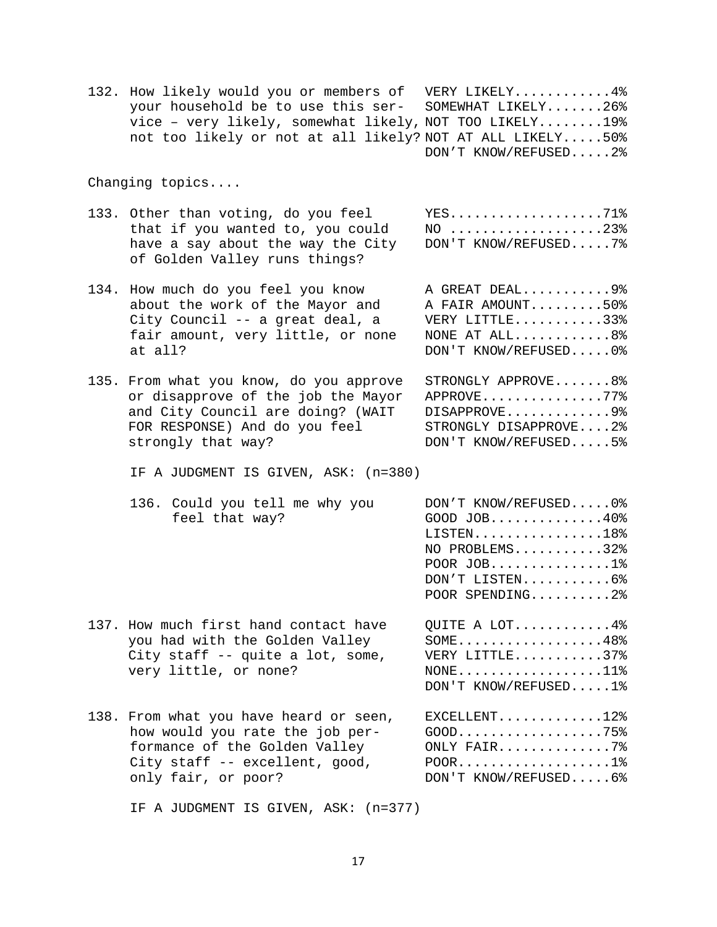132. How likely would you or members of VERY LIKELY............4% your household be to use this ser- SOMEWHAT LIKELY.......26% vice – very likely, somewhat likely, NOT TOO LIKELY........19% not too likely or not at all likely? NOT AT ALL LIKELY.....50% DON'T KNOW/REFUSED.....2%

Changing topics....

- 133. Other than voting, do you feel YES...................71% that if you wanted to, you could NO ...................23% have a say about the way the City of Golden Valley runs things?
- 134. How much do you feel you know A GREAT DEAL.............9%<br>about the work of the Mayor and A FAIR AMOUNT.........50% about the work of the Mayor and A FAIR AMOUNT..........50%<br>City Council -- a great deal, a WERY LITTLE...........33% City Council -- a great deal, a VERY LITTLE............33%<br>fair amount, very little, or none NONE AT ALL............8% fair amount, very little, or none<br>at all?
- 135. From what you know, do you approve STRONGLY APPROVE........8%<br>or disapprove of the job the Mayor APPROVE...............77% or disapprove of the job the Mayor APPROVE...............77%<br>and City Council are doing? (WAIT DISAPPROVE.............9% and City Council are doing? (WAIT DISAPPROVE..............9%<br>FOR RESPONSE) And do you feel STRONGLY DISAPPROVE....2% FOR RESPONSE) And do you feel<br>strongly that way? DON'T KNOW/REFUSED.....5%

IF A JUDGMENT IS GIVEN, ASK: (n=380)

- 136. Could you tell me why you both DON'T CONTROLLER TO A THE REFUSED. The DON'T CONTROLLER TO A TH feel that way? Good Good Communications of Good Communications of Good Communications of Good Communications of Good Communications of Good Communications of Good Communications of Good Communications of Good Communication
- 137. How much first hand contact have QU<br>vou had with the Golden Valley you had with the Golden Valley SOME.<br>City staff -- quite a lot, some, VI City staff  $-$ - quite a lot, some, very little, or none? NONE.
- 138. From what you have heard or seen, EXCELLENT.............12% how would you rate the job per- GOOD..................75% formance of the Golden Valley ONLY FAIR..............7% City staff -- excellent, good,<br>only fair, or poor? DON'T KNOW/REFUSED.....6%

IF A JUDGMENT IS GIVEN, ASK: (n=377)

| TI II OODGFILINI ID GIVLIN, INK' (II-JOO)                                                                                            |                                                                                                                                                                    |
|--------------------------------------------------------------------------------------------------------------------------------------|--------------------------------------------------------------------------------------------------------------------------------------------------------------------|
| 136. Could you tell me why you<br>feel that way?                                                                                     | DON'T KNOW/REFUSED0%<br>GOOD JOB40%<br>LISTEN18%<br>$NO$ PROBLEMS32%<br>POOR JOB1%<br>$DOM'T$ LISTEN6%<br>POOR SPENDING2%                                          |
| 137. How much first hand contact have<br>you had with the Golden Valley<br>City staff -- quite a lot, some,<br>very little, or none? | QUITE A LOT4%<br>$SOME \ldots \ldots \ldots \ldots \ldots 48\%$<br>VERY LITTLE37%<br>$\text{NONE} \ldots \ldots \ldots \ldots \ldots 11\%$<br>DON'T KNOW/REFUSED1% |

DON'T KNOW/REFUSED.....0%

| EXCELLENT12 |  |  |  |  |  |  |
|-------------|--|--|--|--|--|--|
| $GOOD$ 75   |  |  |  |  |  |  |
| ONLY FAIR7  |  |  |  |  |  |  |
| $POOR$ 1    |  |  |  |  |  |  |
|             |  |  |  |  |  |  |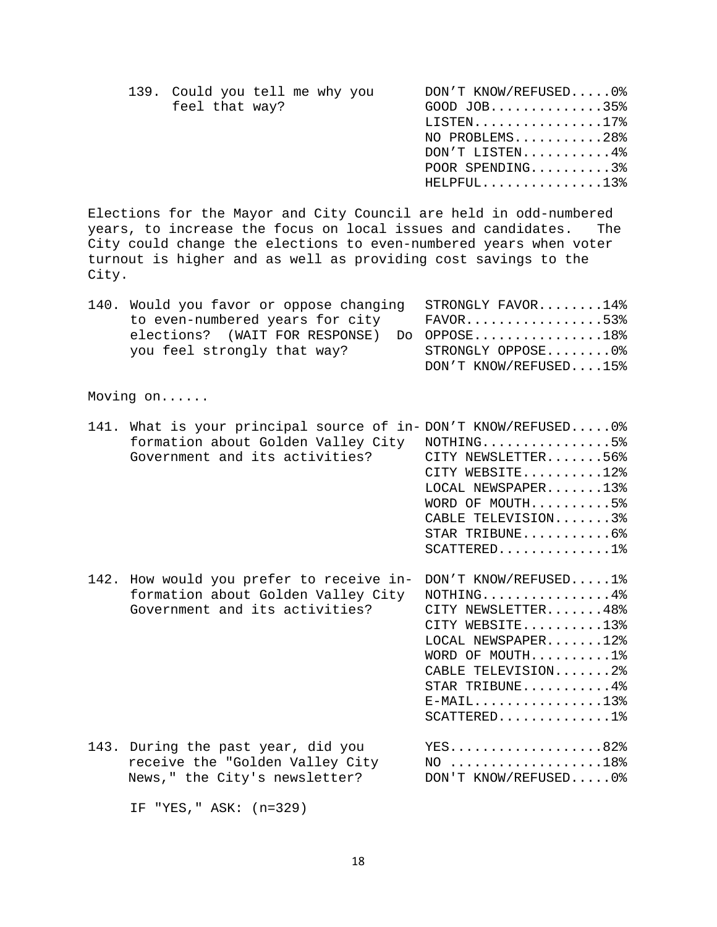| 139. Could you tell me why you<br>feel that way? |  | DON'T KNOW/REFUSED0%<br>GOOD JOB35%<br>$LISTEN$ 17%<br>NO PROBLEMS28%<br>DON'T LISTEN4%<br>POOR SPENDING3%<br>$HELPFUL$ 13% |  |
|--------------------------------------------------|--|-----------------------------------------------------------------------------------------------------------------------------|--|
|                                                  |  |                                                                                                                             |  |

Elections for the Mayor and City Council are held in odd-numbered<br>years, to increase the focus on local issues and candidates. The years, to increase the focus on local issues and candidates. City could change the elections to even-numbered years when voter turnout is higher and as well as providing cost savings to the City.

| 140. Would you favor or oppose changing     | STRONGLY FAVOR14%     |
|---------------------------------------------|-----------------------|
| to even-numbered years for city             | FAVOR53%              |
| elections? (WAIT FOR RESPONSE) Do OPPOSE18% |                       |
| you feel strongly that way?                 | STRONGLY OPPOSE0%     |
|                                             | DON'T KNOW/REFUSED15% |

Moving on......

|  | 141. What is your principal source of in-DON'T KNOW/REFUSED0% |  |  |                    |  |
|--|---------------------------------------------------------------|--|--|--------------------|--|
|  | formation about Golden Valley City NOTHING5%                  |  |  |                    |  |
|  | Government and its activities?                                |  |  | CITY NEWSLETTER56% |  |
|  |                                                               |  |  | CITY WEBSITE12%    |  |
|  |                                                               |  |  | LOCAL NEWSPAPER13% |  |
|  |                                                               |  |  | WORD OF MOUTH5%    |  |
|  |                                                               |  |  | CABLE TELEVISION3% |  |
|  |                                                               |  |  | $STAR$ TRIBUNE6%   |  |
|  |                                                               |  |  |                    |  |

 $\texttt{SCATTERED} \dots \dots \dots \dots \dots 1\$ 

| 142. How would you prefer to receive in- DON'T KNOW/REFUSED1%<br>formation about Golden Valley City<br>Government and its activities? | $NOTHING.$ 4%<br>CITY NEWSLETTER48%<br>CITY WEBSITE13%<br>LOCAL NEWSPAPER12%<br>WORD OF MOUTH1%<br>CABLE TELEVISION2%<br>STAR TRIBUNE4% |
|---------------------------------------------------------------------------------------------------------------------------------------|-----------------------------------------------------------------------------------------------------------------------------------------|
|                                                                                                                                       | $E-MAIL$ 13%<br>$SCATTERED$ 1%                                                                                                          |
| 143. During the past year, did you                                                                                                    | YES82%                                                                                                                                  |

receive the "Golden Valley City MO ....................18%<br>News," the City's newsletter? DON'T KNOW/REFUSED.....0% News," the City's newsletter?

IF "YES," ASK: (n=329)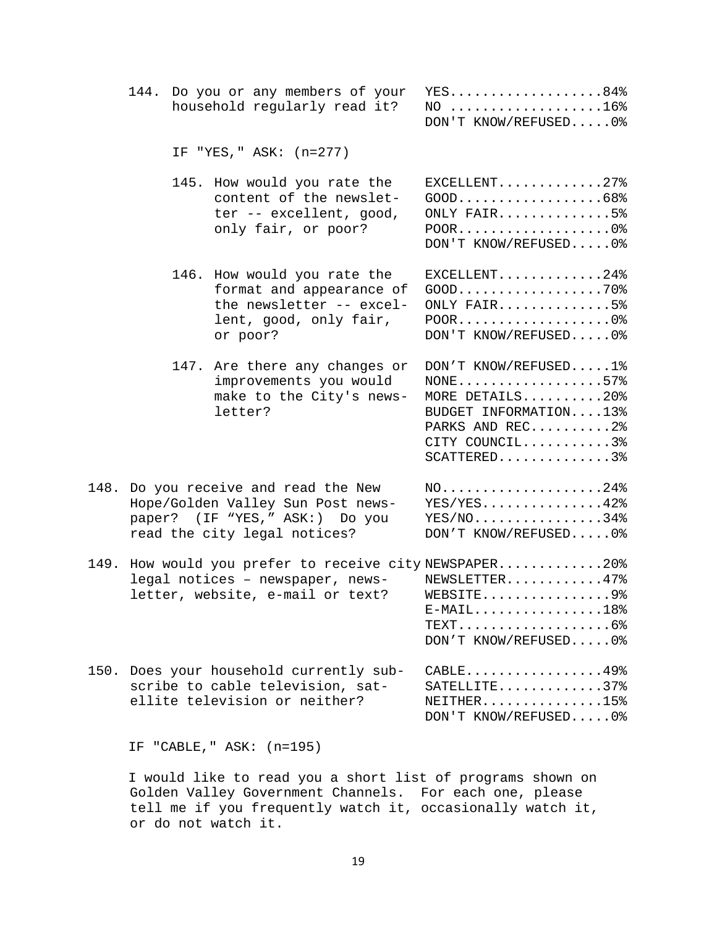|      |                                                                                                                           |                        | 144. Do you or any members of your<br>household regularly read it?                                                                     | YES84%<br>$NO$ 16%<br>DON'T KNOW/REFUSED0%                                                                                                                                       |  |  |  |  |  |
|------|---------------------------------------------------------------------------------------------------------------------------|------------------------|----------------------------------------------------------------------------------------------------------------------------------------|----------------------------------------------------------------------------------------------------------------------------------------------------------------------------------|--|--|--|--|--|
|      |                                                                                                                           | IF "YES," ASK: (n=277) |                                                                                                                                        |                                                                                                                                                                                  |  |  |  |  |  |
|      |                                                                                                                           |                        | 145. How would you rate the<br>content of the newslet-<br>ter -- excellent, good,<br>only fair, or poor?                               | EXCELLENT27%<br>$GOOD$ 68%<br>ONLY FAIR5%<br>$POOR$ 0%<br>DON'T KNOW/REFUSED0%                                                                                                   |  |  |  |  |  |
|      |                                                                                                                           |                        | 146. How would you rate the<br>format and appearance of<br>the newsletter -- excel-<br>lent, good, only fair,<br>or poor?              | EXCELLENT24%<br>$GOOD$ 70%<br>ONLY $FAIR$ 5%<br>$POOR$ 0%<br>DON'T KNOW/REFUSED0%                                                                                                |  |  |  |  |  |
|      |                                                                                                                           |                        | 147. Are there any changes or<br>improvements you would<br>make to the City's news-<br>letter?                                         | DON'T KNOW/REFUSED1%<br>$\text{NONE} \ldots \ldots \ldots \ldots \ldots 57\%$<br>MORE DETAILS20%<br>BUDGET INFORMATION13%<br>PARKS AND REC2%<br>CITY COUNCIL3%<br>$SCATTERED$ 3% |  |  |  |  |  |
| 148. |                                                                                                                           |                        | Do you receive and read the New<br>Hope/Golden Valley Sun Post news-<br>paper? (IF "YES," ASK:) Do you<br>read the city legal notices? | $NO. 24%$<br>$YES/YES$ 42%<br>$YES/NO$ 34%<br>DON'T KNOW/REFUSED0%                                                                                                               |  |  |  |  |  |
| 149. | How would you prefer to receive city NEWSPAPER20%<br>legal notices - newspaper, news-<br>letter, website, e-mail or text? |                        |                                                                                                                                        | NEWSLETTER47%<br>$WEBSITE$ 9%<br>$E-MAIL$ 18%<br>$\tt{TEXT}$ 6%<br>DON'T KNOW/REFUSED0%                                                                                          |  |  |  |  |  |
| 150. |                                                                                                                           |                        | Does your household currently sub-<br>scribe to cable television, sat-<br>ellite television or neither?                                | $CABLE$ 49%<br>$SATELLITE$ 37%<br>NEITHER15%<br>DON'T KNOW/REFUSED0%                                                                                                             |  |  |  |  |  |

IF "CABLE," ASK: (n=195)

 I would like to read you a short list of programs shown on Golden Valley Government Channels. For each one, please tell me if you frequently watch it, occasionally watch it, or do not watch it.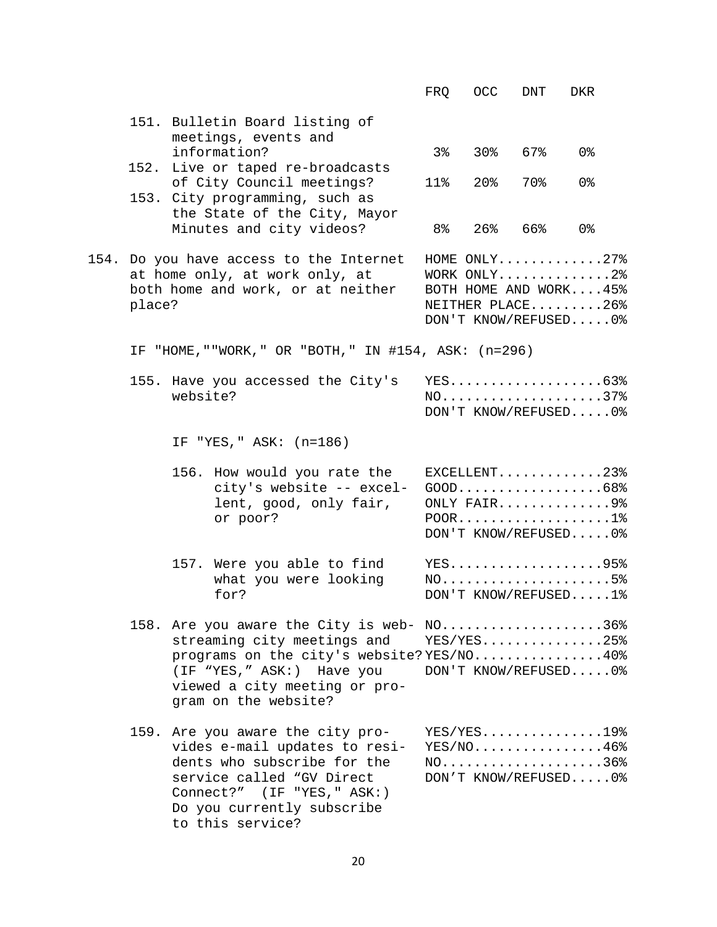|        |          |                                                                                                                                                                                            |                                                                                       | FRQ                                                     | OCC    | DNT | <b>DKR</b>                                                                                       |  |
|--------|----------|--------------------------------------------------------------------------------------------------------------------------------------------------------------------------------------------|---------------------------------------------------------------------------------------|---------------------------------------------------------|--------|-----|--------------------------------------------------------------------------------------------------|--|
|        |          | 151. Bulletin Board listing of<br>meetings, events and                                                                                                                                     |                                                                                       |                                                         |        |     |                                                                                                  |  |
|        |          | information?<br>152. Live or taped re-broadcasts                                                                                                                                           |                                                                                       | 3%                                                      | 30%    | 67% | 0%                                                                                               |  |
|        |          | of City Council meetings?<br>153. City programming, such as<br>the State of the City, Mayor                                                                                                |                                                                                       | 11%                                                     | $20\%$ | 70% | 0%                                                                                               |  |
|        |          | Minutes and city videos?                                                                                                                                                                   |                                                                                       | 8%                                                      | 26%    | 66% | 0%                                                                                               |  |
| place? |          | 154. Do you have access to the Internet<br>at home only, at work only, at<br>both home and work, or at neither                                                                             |                                                                                       |                                                         |        |     | HOME ONLY27%<br>WORK ONLY2%<br>BOTH HOME AND WORK45%<br>NEITHER PLACE26%<br>DON'T KNOW/REFUSED0% |  |
|        |          |                                                                                                                                                                                            |                                                                                       | IF "HOME, ""WORK, " OR "BOTH, " IN #154, ASK: $(n=296)$ |        |     |                                                                                                  |  |
|        | website? | 155. Have you accessed the City's                                                                                                                                                          |                                                                                       |                                                         |        |     | YES63%<br>$NO. 37%$<br>DON'T KNOW/REFUSED0%                                                      |  |
|        |          | IF "YES," ASK: (n=186)                                                                                                                                                                     |                                                                                       |                                                         |        |     |                                                                                                  |  |
|        |          | 156. How would you rate the<br>city's website -- excel-<br>lent, good, only fair,<br>or poor?                                                                                              |                                                                                       |                                                         |        |     | $EXCELLENT$ 23%<br>$GOOD$ 68%<br>ONLY FAIR9%<br>$POOR$ 1%<br>DON'T KNOW/REFUSED0%                |  |
|        |          | 157. Were you able to find<br>what you were looking<br>for?                                                                                                                                |                                                                                       |                                                         |        |     | YES95%<br>$NO. 5$<br>DON'T KNOW/REFUSED1%                                                        |  |
|        |          | streaming city meetings and<br>(IF "YES," ASK:) Have you<br>viewed a city meeting or pro-<br>gram on the website?                                                                          | 158. Are you aware the City is web- NO36%<br>programs on the city's website?YES/NO40% |                                                         |        |     | $YES/YES$ 25%<br>DON'T KNOW/REFUSED0%                                                            |  |
|        |          | 159. Are you aware the city pro-<br>vides e-mail updates to resi-<br>dents who subscribe for the<br>service called "GV Direct<br>Connect?" (IF "YES, " ASK:)<br>Do you currently subscribe |                                                                                       |                                                         |        |     | $YES/YES$ 19%<br>$YES/NO$ 46%<br>$NO.$ 36%<br>DON'T KNOW/REFUSED0%                               |  |

to this service?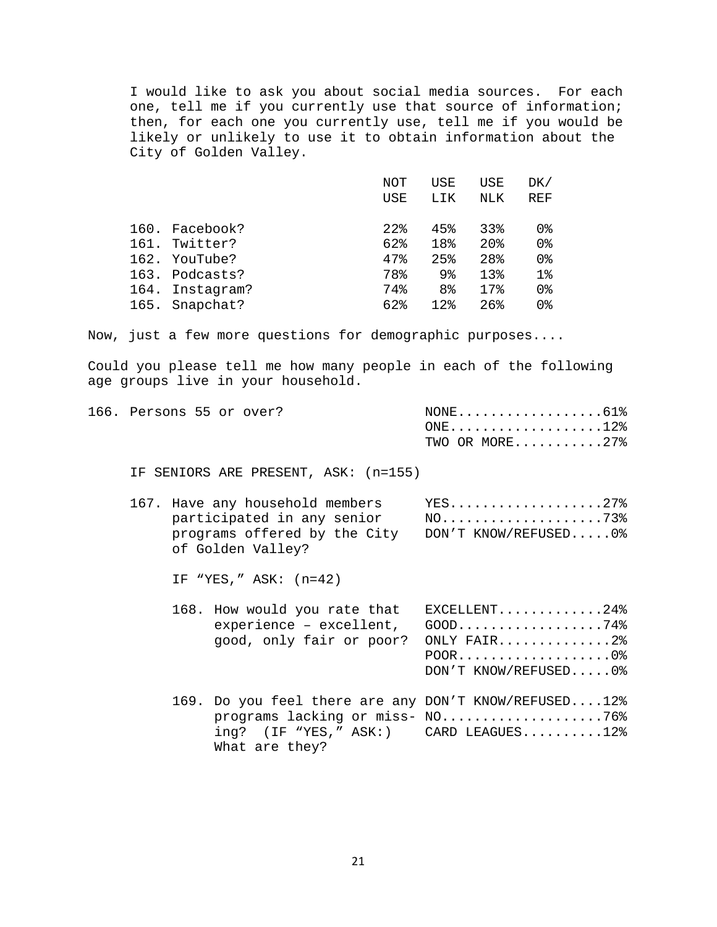I would like to ask you about social media sources. For each one, tell me if you currently use that source of information; then, for each one you currently use, tell me if you would be likely or unlikely to use it to obtain information about the City of Golden Valley.

|           | NOT                                                                                   | USE                | USE             | DK/            |
|-----------|---------------------------------------------------------------------------------------|--------------------|-----------------|----------------|
|           | USE                                                                                   | LIK                | NLK             | <b>REF</b>     |
|           |                                                                                       |                    |                 |                |
|           |                                                                                       |                    |                 | 0%             |
|           | 62%                                                                                   | 18%                | 20 <sub>8</sub> | 0 <sup>8</sup> |
|           | 47%                                                                                   | 25%                | 28%             | 0 <sup>8</sup> |
|           | 78%                                                                                   | 9 <sub>8</sub>     | 13 <sup>8</sup> | $1\,$          |
|           | 74%                                                                                   | 8 <sup>°</sup>     | 17.8            | 0 <sup>8</sup> |
| Snapchat? | 62%                                                                                   | $12$ $\circ$       | 26%             | 0%             |
|           | 160. Facebook?<br>161. Twitter?<br>162. YouTube?<br>163. Podcasts?<br>164. Instagram? | $22$ $\frac{8}{3}$ | 45%             | 33%            |

Now, just a few more questions for demographic purposes....

Could you please tell me how many people in each of the following age groups live in your household.

| 166. Persons 55 or over? |  |  |                   |  |
|--------------------------|--|--|-------------------|--|
|                          |  |  | ONE $12\$         |  |
|                          |  |  | TWO OR MORE $27\$ |  |

IF SENIORS ARE PRESENT, ASK: (n=155)

167. Have any household members YES...................27% participated in any senior <br>programs offered by the City DON'T KNOW/REFUSED.....0% programs offered by the City of Golden Valley?

IF "YES," ASK: (n=42)

|  | $168.$ How would you rate that EXCELLENT24%   |
|--|-----------------------------------------------|
|  |                                               |
|  | $\alpha$ qood, only fair or poor? ONLY FAIR2% |
|  | POOR0%                                        |
|  |                                               |

DON'T KNOW/REFUSED.....0%

169. Do you feel there are any DON'T KNOW/REFUSED....12% programs lacking or miss- NO......................76% ing? (IF "YES," ASK:) CARD LEAGUES..........12% What are they?